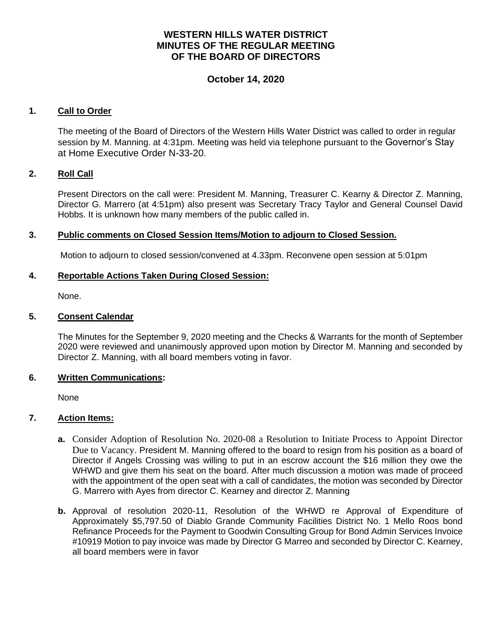# **WESTERN HILLS WATER DISTRICT MINUTES OF THE REGULAR MEETING OF THE BOARD OF DIRECTORS**

# **October 14, 2020**

## **1. Call to Order**

The meeting of the Board of Directors of the Western Hills Water District was called to order in regular session by M. Manning. at 4:31pm. Meeting was held via telephone pursuant to the Governor's Stay at Home Executive Order N-33-20.

### **2. Roll Call**

Present Directors on the call were: President M. Manning, Treasurer C. Kearny & Director Z. Manning, Director G. Marrero (at 4:51pm) also present was Secretary Tracy Taylor and General Counsel David Hobbs. It is unknown how many members of the public called in.

### **3. Public comments on Closed Session Items/Motion to adjourn to Closed Session.**

Motion to adjourn to closed session/convened at 4.33pm. Reconvene open session at 5:01pm

### **4. Reportable Actions Taken During Closed Session:**

None.

### **5. Consent Calendar**

The Minutes for the September 9, 2020 meeting and the Checks & Warrants for the month of September 2020 were reviewed and unanimously approved upon motion by Director M. Manning and seconded by Director Z. Manning, with all board members voting in favor.

#### **6. Written Communications:**

None

## **7. Action Items:**

- **a.** Consider Adoption of Resolution No. 2020-08 a Resolution to Initiate Process to Appoint Director Due to Vacancy. President M. Manning offered to the board to resign from his position as a board of Director if Angels Crossing was willing to put in an escrow account the \$16 million they owe the WHWD and give them his seat on the board. After much discussion a motion was made of proceed with the appointment of the open seat with a call of candidates, the motion was seconded by Director G. Marrero with Ayes from director C. Kearney and director Z. Manning
- **b.** Approval of resolution 2020-11, Resolution of the WHWD re Approval of Expenditure of Approximately \$5,797.50 of Diablo Grande Community Facilities District No. 1 Mello Roos bond Refinance Proceeds for the Payment to Goodwin Consulting Group for Bond Admin Services Invoice #10919 Motion to pay invoice was made by Director G Marreo and seconded by Director C. Kearney, all board members were in favor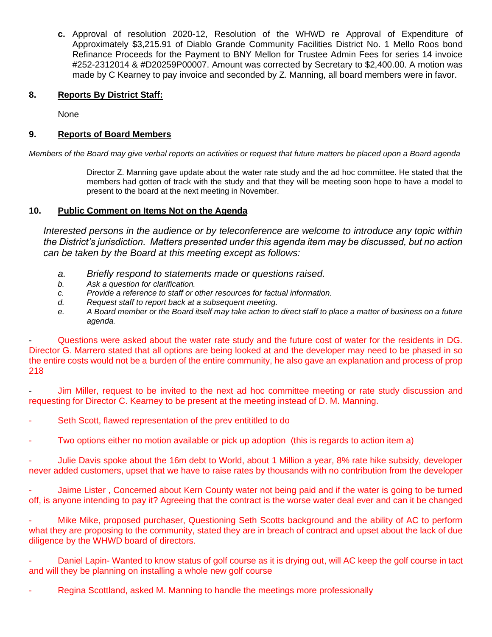**c.** Approval of resolution 2020-12, Resolution of the WHWD re Approval of Expenditure of Approximately \$3,215.91 of Diablo Grande Community Facilities District No. 1 Mello Roos bond Refinance Proceeds for the Payment to BNY Mellon for Trustee Admin Fees for series 14 invoice #252-2312014 & #D20259P00007. Amount was corrected by Secretary to \$2,400.00. A motion was made by C Kearney to pay invoice and seconded by Z. Manning, all board members were in favor.

## **8. Reports By District Staff:**

None

## **9. Reports of Board Members**

*Members of the Board may give verbal reports on activities or request that future matters be placed upon a Board agenda*

Director Z. Manning gave update about the water rate study and the ad hoc committee. He stated that the members had gotten of track with the study and that they will be meeting soon hope to have a model to present to the board at the next meeting in November.

## **10. Public Comment on Items Not on the Agenda**

*Interested persons in the audience or by teleconference are welcome to introduce any topic within the District's jurisdiction. Matters presented under this agenda item may be discussed, but no action can be taken by the Board at this meeting except as follows:*

- *a. Briefly respond to statements made or questions raised.*
- *b. Ask a question for clarification.*
- *c. Provide a reference to staff or other resources for factual information.*
- *d. Request staff to report back at a subsequent meeting.*
- *e. A Board member or the Board itself may take action to direct staff to place a matter of business on a future agenda.*

Questions were asked about the water rate study and the future cost of water for the residents in DG. Director G. Marrero stated that all options are being looked at and the developer may need to be phased in so the entire costs would not be a burden of the entire community, he also gave an explanation and process of prop 218

Jim Miller, request to be invited to the next ad hoc committee meeting or rate study discussion and requesting for Director C. Kearney to be present at the meeting instead of D. M. Manning.

- Seth Scott, flawed representation of the prev entititled to do
- Two options either no motion available or pick up adoption (this is regards to action item a)

Julie Davis spoke about the 16m debt to World, about 1 Million a year, 8% rate hike subsidy, developer never added customers, upset that we have to raise rates by thousands with no contribution from the developer

Jaime Lister, Concerned about Kern County water not being paid and if the water is going to be turned off, is anyone intending to pay it? Agreeing that the contract is the worse water deal ever and can it be changed

Mike Mike, proposed purchaser, Questioning Seth Scotts background and the ability of AC to perform what they are proposing to the community, stated they are in breach of contract and upset about the lack of due diligence by the WHWD board of directors.

Daniel Lapin- Wanted to know status of golf course as it is drying out, will AC keep the golf course in tact and will they be planning on installing a whole new golf course

Regina Scottland, asked M. Manning to handle the meetings more professionally